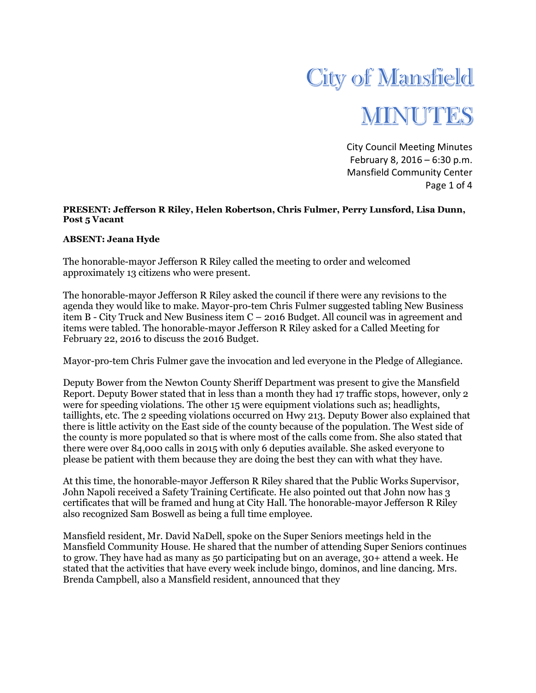

City Council Meeting Minutes February 8, 2016 – 6:30 p.m. Mansfield Community Center Page 1 of 4

## **PRESENT: Jefferson R Riley, Helen Robertson, Chris Fulmer, Perry Lunsford, Lisa Dunn, Post 5 Vacant**

## **ABSENT: Jeana Hyde**

The honorable-mayor Jefferson R Riley called the meeting to order and welcomed approximately 13 citizens who were present.

The honorable-mayor Jefferson R Riley asked the council if there were any revisions to the agenda they would like to make. Mayor-pro-tem Chris Fulmer suggested tabling New Business item B - City Truck and New Business item C – 2016 Budget. All council was in agreement and items were tabled. The honorable-mayor Jefferson R Riley asked for a Called Meeting for February 22, 2016 to discuss the 2016 Budget.

Mayor-pro-tem Chris Fulmer gave the invocation and led everyone in the Pledge of Allegiance.

Deputy Bower from the Newton County Sheriff Department was present to give the Mansfield Report. Deputy Bower stated that in less than a month they had 17 traffic stops, however, only 2 were for speeding violations. The other 15 were equipment violations such as; headlights, taillights, etc. The 2 speeding violations occurred on Hwy 213. Deputy Bower also explained that there is little activity on the East side of the county because of the population. The West side of the county is more populated so that is where most of the calls come from. She also stated that there were over 84,000 calls in 2015 with only 6 deputies available. She asked everyone to please be patient with them because they are doing the best they can with what they have.

At this time, the honorable-mayor Jefferson R Riley shared that the Public Works Supervisor, John Napoli received a Safety Training Certificate. He also pointed out that John now has 3 certificates that will be framed and hung at City Hall. The honorable-mayor Jefferson R Riley also recognized Sam Boswell as being a full time employee.

Mansfield resident, Mr. David NaDell, spoke on the Super Seniors meetings held in the Mansfield Community House. He shared that the number of attending Super Seniors continues to grow. They have had as many as 50 participating but on an average, 30+ attend a week. He stated that the activities that have every week include bingo, dominos, and line dancing. Mrs. Brenda Campbell, also a Mansfield resident, announced that they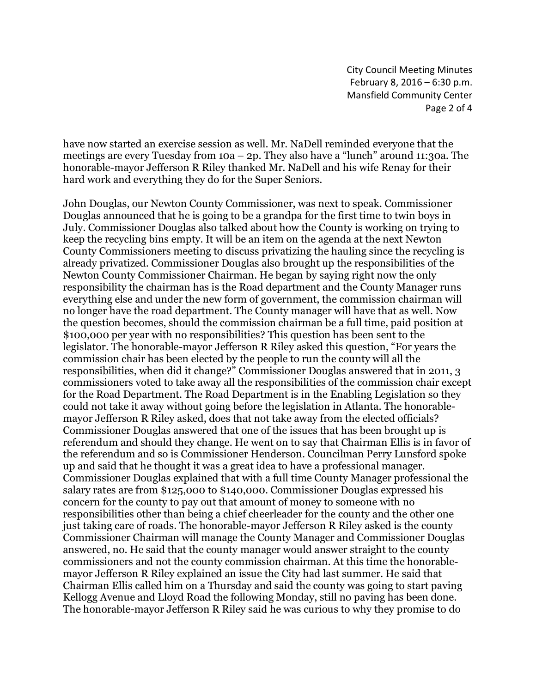City Council Meeting Minutes February 8, 2016 – 6:30 p.m. Mansfield Community Center Page 2 of 4

have now started an exercise session as well. Mr. NaDell reminded everyone that the meetings are every Tuesday from  $10a - 2p$ . They also have a "lunch" around 11:30a. The honorable-mayor Jefferson R Riley thanked Mr. NaDell and his wife Renay for their hard work and everything they do for the Super Seniors.

John Douglas, our Newton County Commissioner, was next to speak. Commissioner Douglas announced that he is going to be a grandpa for the first time to twin boys in July. Commissioner Douglas also talked about how the County is working on trying to keep the recycling bins empty. It will be an item on the agenda at the next Newton County Commissioners meeting to discuss privatizing the hauling since the recycling is already privatized. Commissioner Douglas also brought up the responsibilities of the Newton County Commissioner Chairman. He began by saying right now the only responsibility the chairman has is the Road department and the County Manager runs everything else and under the new form of government, the commission chairman will no longer have the road department. The County manager will have that as well. Now the question becomes, should the commission chairman be a full time, paid position at \$100,000 per year with no responsibilities? This question has been sent to the legislator. The honorable-mayor Jefferson R Riley asked this question, "For years the commission chair has been elected by the people to run the county will all the responsibilities, when did it change?" Commissioner Douglas answered that in 2011, 3 commissioners voted to take away all the responsibilities of the commission chair except for the Road Department. The Road Department is in the Enabling Legislation so they could not take it away without going before the legislation in Atlanta. The honorablemayor Jefferson R Riley asked, does that not take away from the elected officials? Commissioner Douglas answered that one of the issues that has been brought up is referendum and should they change. He went on to say that Chairman Ellis is in favor of the referendum and so is Commissioner Henderson. Councilman Perry Lunsford spoke up and said that he thought it was a great idea to have a professional manager. Commissioner Douglas explained that with a full time County Manager professional the salary rates are from \$125,000 to \$140,000. Commissioner Douglas expressed his concern for the county to pay out that amount of money to someone with no responsibilities other than being a chief cheerleader for the county and the other one just taking care of roads. The honorable-mayor Jefferson R Riley asked is the county Commissioner Chairman will manage the County Manager and Commissioner Douglas answered, no. He said that the county manager would answer straight to the county commissioners and not the county commission chairman. At this time the honorablemayor Jefferson R Riley explained an issue the City had last summer. He said that Chairman Ellis called him on a Thursday and said the county was going to start paving Kellogg Avenue and Lloyd Road the following Monday, still no paving has been done. The honorable-mayor Jefferson R Riley said he was curious to why they promise to do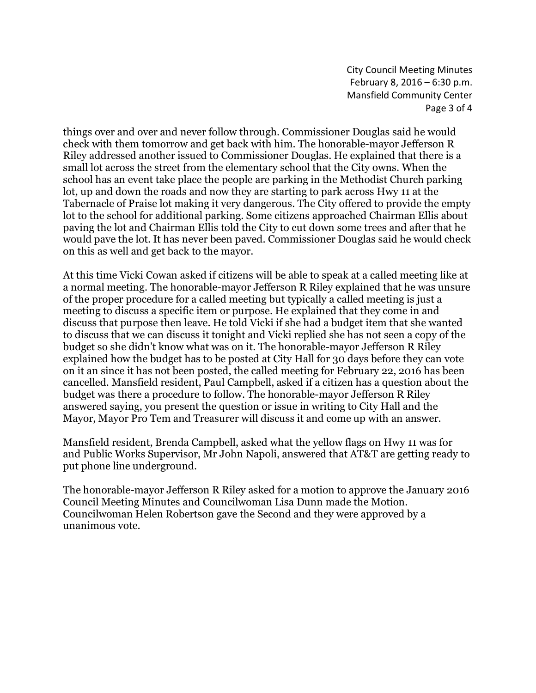City Council Meeting Minutes February 8, 2016 – 6:30 p.m. Mansfield Community Center Page 3 of 4

things over and over and never follow through. Commissioner Douglas said he would check with them tomorrow and get back with him. The honorable-mayor Jefferson R Riley addressed another issued to Commissioner Douglas. He explained that there is a small lot across the street from the elementary school that the City owns. When the school has an event take place the people are parking in the Methodist Church parking lot, up and down the roads and now they are starting to park across Hwy 11 at the Tabernacle of Praise lot making it very dangerous. The City offered to provide the empty lot to the school for additional parking. Some citizens approached Chairman Ellis about paving the lot and Chairman Ellis told the City to cut down some trees and after that he would pave the lot. It has never been paved. Commissioner Douglas said he would check on this as well and get back to the mayor.

At this time Vicki Cowan asked if citizens will be able to speak at a called meeting like at a normal meeting. The honorable-mayor Jefferson R Riley explained that he was unsure of the proper procedure for a called meeting but typically a called meeting is just a meeting to discuss a specific item or purpose. He explained that they come in and discuss that purpose then leave. He told Vicki if she had a budget item that she wanted to discuss that we can discuss it tonight and Vicki replied she has not seen a copy of the budget so she didn't know what was on it. The honorable-mayor Jefferson R Riley explained how the budget has to be posted at City Hall for 30 days before they can vote on it an since it has not been posted, the called meeting for February 22, 2016 has been cancelled. Mansfield resident, Paul Campbell, asked if a citizen has a question about the budget was there a procedure to follow. The honorable-mayor Jefferson R Riley answered saying, you present the question or issue in writing to City Hall and the Mayor, Mayor Pro Tem and Treasurer will discuss it and come up with an answer.

Mansfield resident, Brenda Campbell, asked what the yellow flags on Hwy 11 was for and Public Works Supervisor, Mr John Napoli, answered that AT&T are getting ready to put phone line underground.

The honorable-mayor Jefferson R Riley asked for a motion to approve the January 2016 Council Meeting Minutes and Councilwoman Lisa Dunn made the Motion. Councilwoman Helen Robertson gave the Second and they were approved by a unanimous vote.